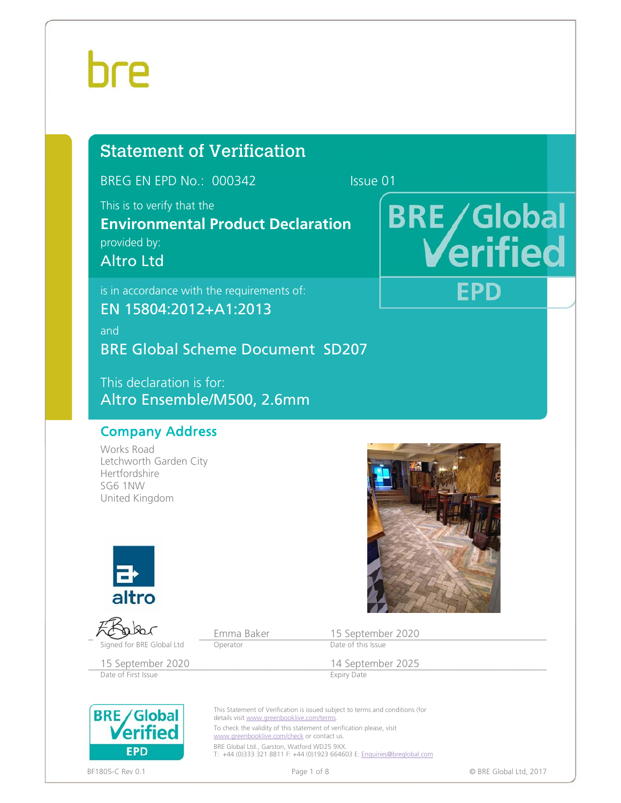# hre

# Statement of Verification

BREG EN EPD No.: 000342 Issue 01

This is to verify that the

**Environmental Product Declaration**  provided by: Altro Ltd

is in accordance with the requirements of: EN 15804:2012+A1:2013 and BRE Global Scheme Document SD207

This declaration is for: Altro Ensemble/M500, 2.6mm

# Company Address

Works Road Letchworth Garden City Hertfordshire SG6 1NW United Kingdom



Emma Baker 15 September 2020<br>
Operator Date of this Issue Signed for BRE Global Ltd Operator

15 September 2020 14 September 2025<br>
Date of First Issue Expiry Date

Date of First Issue

**BRE** Global **EPD** 

details visit www.greenbooklive.com/terms. To check the validity of this statement of verification please, visit www.greenbooklive.com/check or contact us. BRE Global Ltd., Garston, Watford WD25 9XX

T: +44 (0)333 321 8811 F: +44 (0)1923 664603 E: Enquiries@breglobal.com



**BRE/Global** erified **EPD** 

This Statement of Verification is issued subject to terms and conditions (for

BF1805-C Rev 0.1 **Details and Secure 2018** Page 1 of 8 **Page 1 of 8** CHO BRE Global Ltd, 2017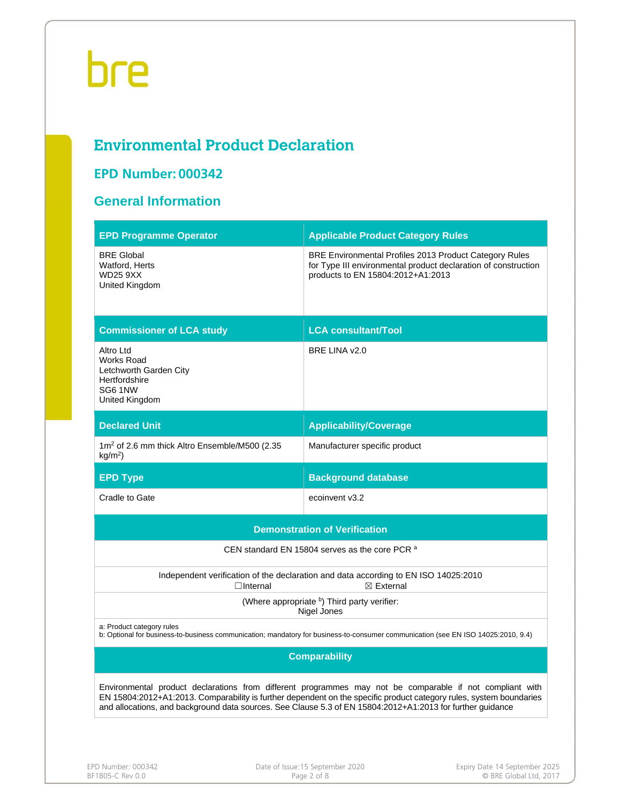# **Environmental Product Declaration**

# **EPD Number: 000342**

# **General Information**

| <b>EPD Programme Operator</b>                                                                                                                                                                                                                                                                                                                 | <b>Applicable Product Category Rules</b>                                                                                                                      |  |  |  |  |  |
|-----------------------------------------------------------------------------------------------------------------------------------------------------------------------------------------------------------------------------------------------------------------------------------------------------------------------------------------------|---------------------------------------------------------------------------------------------------------------------------------------------------------------|--|--|--|--|--|
| <b>BRE Global</b><br>Watford, Herts<br><b>WD25 9XX</b><br>United Kingdom                                                                                                                                                                                                                                                                      | BRE Environmental Profiles 2013 Product Category Rules<br>for Type III environmental product declaration of construction<br>products to EN 15804:2012+A1:2013 |  |  |  |  |  |
| <b>Commissioner of LCA study</b>                                                                                                                                                                                                                                                                                                              | <b>LCA consultant/Tool</b>                                                                                                                                    |  |  |  |  |  |
| Altro Ltd<br>Works Road<br>Letchworth Garden City<br>Hertfordshire<br>SG61NW<br>United Kingdom                                                                                                                                                                                                                                                | BRE LINA v2.0                                                                                                                                                 |  |  |  |  |  |
| <b>Declared Unit</b>                                                                                                                                                                                                                                                                                                                          | <b>Applicability/Coverage</b>                                                                                                                                 |  |  |  |  |  |
| 1m <sup>2</sup> of 2.6 mm thick Altro Ensemble/M500 (2.35<br>$kg/m2$ )                                                                                                                                                                                                                                                                        | Manufacturer specific product                                                                                                                                 |  |  |  |  |  |
| <b>EPD Type</b>                                                                                                                                                                                                                                                                                                                               | <b>Background database</b>                                                                                                                                    |  |  |  |  |  |
| Cradle to Gate                                                                                                                                                                                                                                                                                                                                | ecoinvent v3.2                                                                                                                                                |  |  |  |  |  |
|                                                                                                                                                                                                                                                                                                                                               | <b>Demonstration of Verification</b>                                                                                                                          |  |  |  |  |  |
|                                                                                                                                                                                                                                                                                                                                               | CEN standard EN 15804 serves as the core PCR a                                                                                                                |  |  |  |  |  |
| $\Box$ Internal                                                                                                                                                                                                                                                                                                                               | Independent verification of the declaration and data according to EN ISO 14025:2010<br>$\boxtimes$ External                                                   |  |  |  |  |  |
|                                                                                                                                                                                                                                                                                                                                               | (Where appropriate b) Third party verifier:<br>Nigel Jones                                                                                                    |  |  |  |  |  |
| a: Product category rules                                                                                                                                                                                                                                                                                                                     | b: Optional for business-to-business communication; mandatory for business-to-consumer communication (see EN ISO 14025:2010, 9.4)                             |  |  |  |  |  |
| <b>Comparability</b>                                                                                                                                                                                                                                                                                                                          |                                                                                                                                                               |  |  |  |  |  |
| Environmental product declarations from different programmes may not be comparable if not compliant with<br>EN 15804:2012+A1:2013. Comparability is further dependent on the specific product category rules, system boundaries<br>and allocations, and background data sources. See Clause 5.3 of EN 15804:2012+A1:2013 for further guidance |                                                                                                                                                               |  |  |  |  |  |
|                                                                                                                                                                                                                                                                                                                                               |                                                                                                                                                               |  |  |  |  |  |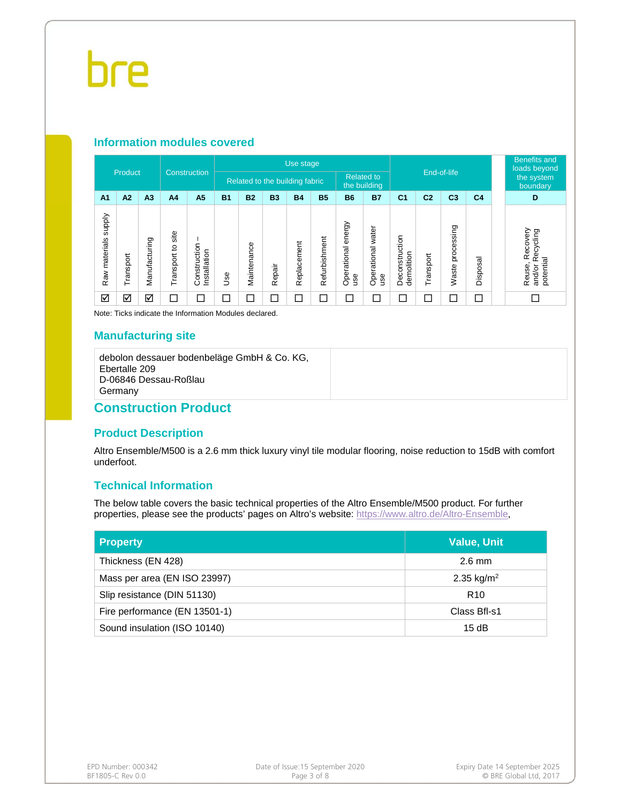#### **Information modules covered**

| Construction            |           |                | Use stage               |                             |                                                                     |             |           |             |               |                             |                          | <b>Benefits and</b><br>loads beyond |                |                          |                                             |                                                            |
|-------------------------|-----------|----------------|-------------------------|-----------------------------|---------------------------------------------------------------------|-------------|-----------|-------------|---------------|-----------------------------|--------------------------|-------------------------------------|----------------|--------------------------|---------------------------------------------|------------------------------------------------------------|
| Product                 |           |                |                         |                             | <b>Related to</b><br>Related to the building fabric<br>the building |             |           |             | End-of-life   |                             |                          | the system<br>boundary              |                |                          |                                             |                                                            |
| A <sub>1</sub>          | A2        | A <sub>3</sub> | A <sub>4</sub>          | A <sub>5</sub>              | <b>B1</b>                                                           | <b>B2</b>   | <b>B3</b> | <b>B4</b>   | <b>B5</b>     | <b>B6</b>                   | <b>B7</b>                | C <sub>1</sub>                      | C <sub>2</sub> | C <sub>3</sub>           | C <sub>4</sub>                              | D                                                          |
| supply<br>Raw materials | Transport | Manufacturing  | site<br>ءِ<br>Transport | Construction<br>nstallation | Jse                                                                 | Maintenance | Repair    | Replacement | Refurbishment | energy<br>Operational<br>ge | Operational water<br>use | Deconstruction<br>demolition        | Transport      | ssing<br>proces<br>Waste | $\overline{\mathfrak{a}}$<br><b>Disposa</b> | Recovery<br>ecycling<br>œ<br>potential<br>Reuse,<br>and/or |
| ☑                       | ☑         | ☑              |                         |                             |                                                                     |             |           | $\Box$      | $\Box$        | $\Box$                      | ⊏                        |                                     |                |                          |                                             |                                                            |

Note: Ticks indicate the Information Modules declared.

### **Manufacturing site**

debolon dessauer bodenbeläge GmbH & Co. KG, Ebertalle 209 D-06846 Dessau-Roßlau **Germany** 

# **Construction Product**

### **Product Description**

Altro Ensemble/M500 is a 2.6 mm thick luxury vinyl tile modular flooring, noise reduction to 15dB with comfort underfoot.

## **Technical Information**

The below table covers the basic technical properties of the Altro Ensemble/M500 product. For further properties, please see the products' pages on Altro's website: https://www.altro.de/Altro-Ensemble,

| <b>Property</b>               | <b>Value, Unit</b>     |
|-------------------------------|------------------------|
| Thickness (EN 428)            | $2.6 \text{ mm}$       |
| Mass per area (EN ISO 23997)  | 2.35 kg/m <sup>2</sup> |
| Slip resistance (DIN 51130)   | R <sub>10</sub>        |
| Fire performance (EN 13501-1) | Class Bfl-s1           |
| Sound insulation (ISO 10140)  | 15dB                   |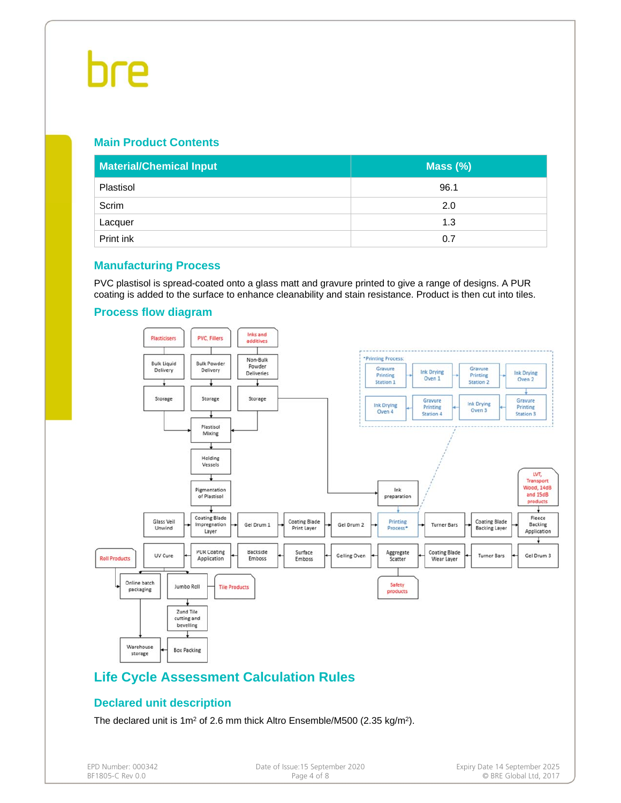# **Main Product Contents**

| <b>Material/Chemical Input</b> | Mass $(\%)$ |
|--------------------------------|-------------|
| Plastisol                      | 96.1        |
| Scrim                          | 2.0         |
| Lacquer                        | 1.3         |
| Print ink                      | 0.7         |

### **Manufacturing Process**

PVC plastisol is spread-coated onto a glass matt and gravure printed to give a range of designs. A PUR coating is added to the surface to enhance cleanability and stain resistance. Product is then cut into tiles.



### **Process flow diagram**

# **Life Cycle Assessment Calculation Rules**

## **Declared unit description**

The declared unit is 1m<sup>2</sup> of 2.6 mm thick Altro Ensemble/M500 (2.35 kg/m<sup>2</sup>).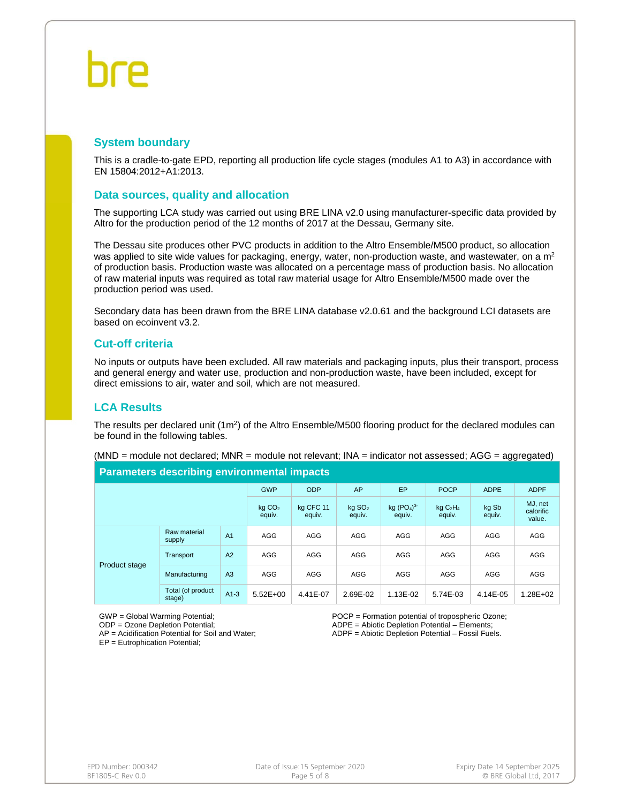### **System boundary**

This is a cradle-to-gate EPD, reporting all production life cycle stages (modules A1 to A3) in accordance with EN 15804:2012+A1:2013.

#### **Data sources, quality and allocation**

The supporting LCA study was carried out using BRE LINA v2.0 using manufacturer-specific data provided by Altro for the production period of the 12 months of 2017 at the Dessau, Germany site.

The Dessau site produces other PVC products in addition to the Altro Ensemble/M500 product, so allocation was applied to site wide values for packaging, energy, water, non-production waste, and wastewater, on a  $m<sup>2</sup>$ of production basis. Production waste was allocated on a percentage mass of production basis. No allocation of raw material inputs was required as total raw material usage for Altro Ensemble/M500 made over the production period was used.

Secondary data has been drawn from the BRE LINA database v2.0.61 and the background LCI datasets are based on ecoinvent v3.2.

#### **Cut-off criteria**

No inputs or outputs have been excluded. All raw materials and packaging inputs, plus their transport, process and general energy and water use, production and non-production waste, have been included, except for direct emissions to air, water and soil, which are not measured.

### **LCA Results**

The results per declared unit (1m<sup>2</sup>) of the Altro Ensemble/M500 flooring product for the declared modules can be found in the following tables.

| <b>Parameters describing environmental impacts</b> |                             |                     |                                |                                              |                                           |                 |                                |             |             |  |  |
|----------------------------------------------------|-----------------------------|---------------------|--------------------------------|----------------------------------------------|-------------------------------------------|-----------------|--------------------------------|-------------|-------------|--|--|
|                                                    |                             |                     | <b>GWP</b>                     | <b>ODP</b>                                   | AP                                        | EP              | <b>POCP</b>                    | <b>ADPE</b> | <b>ADPF</b> |  |  |
|                                                    | $kq$ $CO2$<br>equiv.        | ka CFC 11<br>equiv. | $kq$ SO <sub>2</sub><br>equiv. | kq (PO <sub>4</sub> ) <sup>3</sup><br>equiv. | kqC <sub>2</sub> H <sub>4</sub><br>equiv. | kg Sb<br>equiv. | MJ, net<br>calorific<br>value. |             |             |  |  |
| <b>Product stage</b>                               | Raw material<br>supply      | A <sub>1</sub>      | AGG                            | AGG                                          | AGG                                       | AGG             | AGG                            | AGG         | AGG         |  |  |
|                                                    | Transport                   | A2                  | AGG                            | AGG                                          | AGG                                       | AGG             | AGG                            | AGG         | AGG         |  |  |
|                                                    | Manufacturing               | A3                  | AGG                            | AGG                                          | AGG                                       | AGG             | AGG                            | AGG         | AGG         |  |  |
|                                                    | Total (of product<br>stage) | $A1-3$              | $5.52E+00$                     | 4.41E-07                                     | 2.69E-02                                  | 1.13E-02        | 5.74E-03                       | 4.14E-05    | 1.28E+02    |  |  |

(MND = module not declared; MNR = module not relevant; INA = indicator not assessed; AGG = aggregated)

GWP = Global Warming Potential;

ODP = Ozone Depletion Potential; AP = Acidification Potential for Soil and Water; POCP = Formation potential of tropospheric Ozone; ADPE = Abiotic Depletion Potential – Elements; ADPF = Abiotic Depletion Potential – Fossil Fuels.

EP = Eutrophication Potential;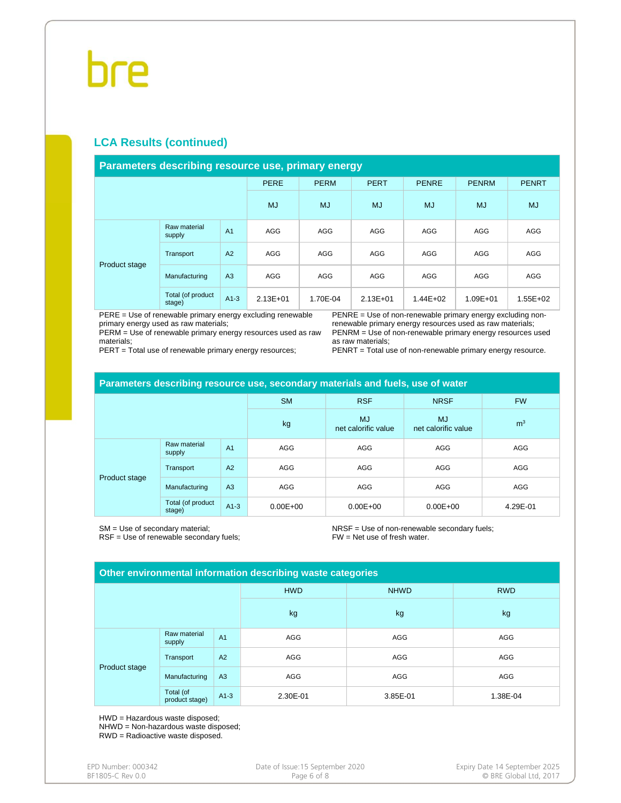# hre

# **LCA Results (continued)**

#### **Parameters describing resource use, primary energy**

|               |                             |                | <b>PERE</b>  | <b>PERM</b> | <b>PERT</b>  | <b>PENRE</b> | <b>PENRM</b> | <b>PENRT</b> |
|---------------|-----------------------------|----------------|--------------|-------------|--------------|--------------|--------------|--------------|
|               |                             |                | <b>MJ</b>    | <b>MJ</b>   | <b>MJ</b>    | <b>MJ</b>    | <b>MJ</b>    | <b>MJ</b>    |
|               | Raw material<br>supply      | A <sub>1</sub> | AGG          | AGG         | AGG          | AGG          | AGG          | AGG          |
|               | Transport                   | A2             | AGG          | AGG         | AGG          | AGG          | AGG          | AGG          |
| Product stage | Manufacturing               | A <sub>3</sub> | AGG          | AGG         | AGG          | AGG          | AGG          | AGG          |
|               | Total (of product<br>stage) | $A1-3$         | $2.13E + 01$ | 1.70E-04    | $2.13E + 01$ | $1.44E + 02$ | 1.09E+01     | 1.55E+02     |

PERE = Use of renewable primary energy excluding renewable primary energy used as raw materials;

PERM = Use of renewable primary energy resources used as raw materials;

PERT = Total use of renewable primary energy resources;

PENRE = Use of non-renewable primary energy excluding nonrenewable primary energy resources used as raw materials; PENRM = Use of non-renewable primary energy resources used as raw materials;

PENRT = Total use of non-renewable primary energy resource.

| Parameters describing resource use, secondary materials and fuels, use of water |                             |                |              |                                  |                                  |                |  |  |  |
|---------------------------------------------------------------------------------|-----------------------------|----------------|--------------|----------------------------------|----------------------------------|----------------|--|--|--|
|                                                                                 |                             |                | <b>SM</b>    | <b>RSF</b>                       | <b>NRSF</b>                      | <b>FW</b>      |  |  |  |
|                                                                                 |                             |                | kg           | <b>MJ</b><br>net calorific value | <b>MJ</b><br>net calorific value | m <sup>3</sup> |  |  |  |
| Product stage                                                                   | Raw material<br>supply      | A <sub>1</sub> | AGG          | AGG                              | AGG                              | AGG            |  |  |  |
|                                                                                 | Transport                   | A2             | AGG          | AGG                              | AGG                              | AGG            |  |  |  |
|                                                                                 | Manufacturing               | A3             | AGG          | AGG                              | AGG                              | AGG            |  |  |  |
|                                                                                 | Total (of product<br>stage) | $A1-3$         | $0.00E + 00$ | $0.00E + 00$                     | $0.00E + 00$                     | 4.29E-01       |  |  |  |

SM = Use of secondary material; RSF = Use of renewable secondary fuels; NRSF = Use of non-renewable secondary fuels; FW = Net use of fresh water.

| Other environmental information describing waste categories |                             |                |            |             |            |  |  |  |
|-------------------------------------------------------------|-----------------------------|----------------|------------|-------------|------------|--|--|--|
|                                                             |                             |                | <b>HWD</b> | <b>NHWD</b> | <b>RWD</b> |  |  |  |
|                                                             |                             |                | kg         | kg          | kg         |  |  |  |
| Product stage                                               | Raw material<br>supply      | A <sub>1</sub> | AGG        | AGG         | AGG        |  |  |  |
|                                                             | Transport                   | A2             | AGG        | AGG         | AGG        |  |  |  |
|                                                             | Manufacturing               | A <sub>3</sub> | AGG        | AGG         | AGG        |  |  |  |
|                                                             | Total (of<br>product stage) | $A1-3$         | 2.30E-01   | 3.85E-01    | 1.38E-04   |  |  |  |

HWD = Hazardous waste disposed;

NHWD = Non-hazardous waste disposed;

RWD = Radioactive waste disposed.

| EPD Number: 000342 |
|--------------------|
| BF1805-C Rev 0.0   |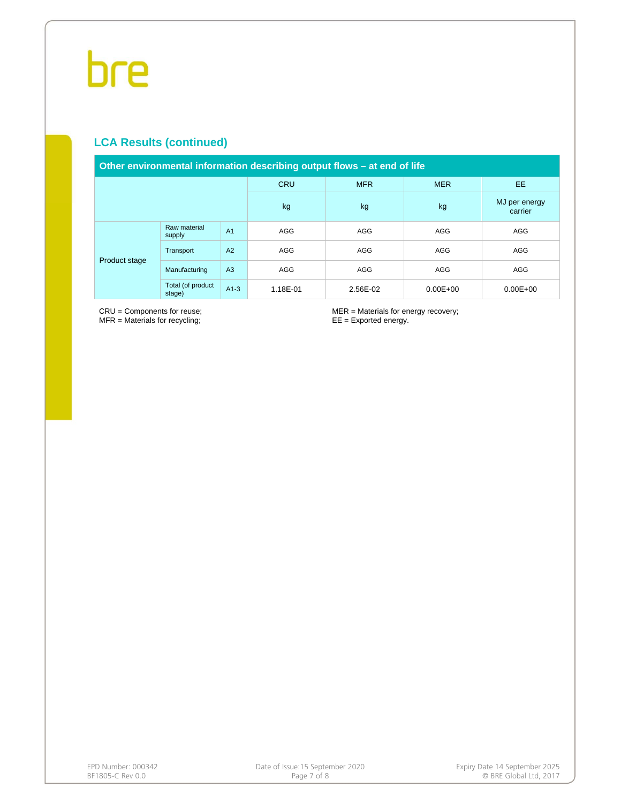# **LCA Results (continued)**

| Other environmental information describing output flows – at end of life |                             |                |            |            |              |                          |  |  |  |
|--------------------------------------------------------------------------|-----------------------------|----------------|------------|------------|--------------|--------------------------|--|--|--|
|                                                                          |                             |                | <b>CRU</b> | <b>MFR</b> | <b>MER</b>   | EE.                      |  |  |  |
|                                                                          |                             |                | kg         | kg         | kg           | MJ per energy<br>carrier |  |  |  |
| Product stage                                                            | Raw material<br>supply      | A <sub>1</sub> | AGG        | AGG        | AGG          | AGG                      |  |  |  |
|                                                                          | Transport                   | A2             | AGG        | AGG        | AGG          | AGG                      |  |  |  |
|                                                                          | Manufacturing               | A <sub>3</sub> | AGG        | AGG        | AGG          | AGG                      |  |  |  |
|                                                                          | Total (of product<br>stage) | $A1-3$         | 1.18E-01   | 2.56E-02   | $0.00E + 00$ | $0.00E + 00$             |  |  |  |

CRU = Components for reuse; MFR = Materials for recycling;

MER = Materials for energy recovery; EE = Exported energy.